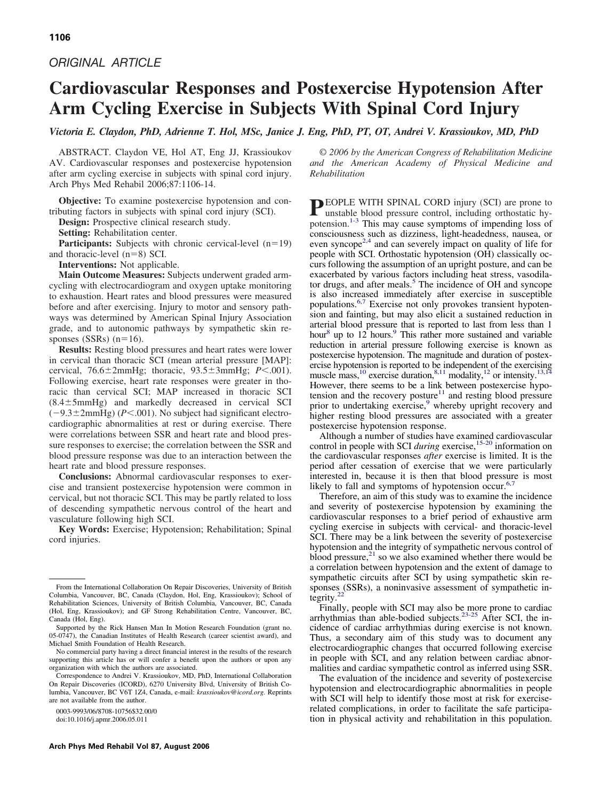# *ORIGINAL ARTICLE*

# **Cardiovascular Responses and Postexercise Hypotension After Arm Cycling Exercise in Subjects With Spinal Cord Injury**

*Victoria E. Claydon, PhD, Adrienne T. Hol, MSc, Janice J. Eng, PhD, PT, OT, Andrei V. Krassioukov, MD, PhD*

ABSTRACT. Claydon VE, Hol AT, Eng JJ, Krassioukov AV. Cardiovascular responses and postexercise hypotension after arm cycling exercise in subjects with spinal cord injury. Arch Phys Med Rehabil 2006;87:1106-14.

**Objective:** To examine postexercise hypotension and contributing factors in subjects with spinal cord injury (SCI).

**Design:** Prospective clinical research study.

**Setting:** Rehabilitation center.

**Participants:** Subjects with chronic cervical-level  $(n=19)$ and thoracic-level  $(n=8)$  SCI.

**Interventions:** Not applicable.

**Main Outcome Measures:** Subjects underwent graded armcycling with electrocardiogram and oxygen uptake monitoring to exhaustion. Heart rates and blood pressures were measured before and after exercising. Injury to motor and sensory pathways was determined by American Spinal Injury Association grade, and to autonomic pathways by sympathetic skin responses (SSRs)  $(n=16)$ .

**Results:** Resting blood pressures and heart rates were lower in cervical than thoracic SCI (mean arterial pressure [MAP]: cervical, 76.6 ± 2mmHg; thoracic, 93.5 ± 3mmHg; *P*<.001). Following exercise, heart rate responses were greater in thoracic than cervical SCI; MAP increased in thoracic SCI  $(8.4 \pm 5$ mmHg) and markedly decreased in cervical SCI  $(-9.3 \pm 2$ mmHg) ( $P < .001$ ). No subject had significant electrocardiographic abnormalities at rest or during exercise. There were correlations between SSR and heart rate and blood pressure responses to exercise; the correlation between the SSR and blood pressure response was due to an interaction between the heart rate and blood pressure responses.

**Conclusions:** Abnormal cardiovascular responses to exercise and transient postexercise hypotension were common in cervical, but not thoracic SCI. This may be partly related to loss of descending sympathetic nervous control of the heart and vasculature following high SCI.

**Key Words:** Exercise; Hypotension; Rehabilitation; Spinal cord injuries.

0003-9993/06/8708-10756\$32.00/0

doi:10.1016/j.apmr.2006.05.011

© *2006 by the American Congress of Rehabilitation Medicine and the American Academy of Physical Medicine and Rehabilitation*

**PEOPLE WITH SPINAL CORD injury (SCI) are prone to** unstable blood pressure control, including orthostatic hypotension.<sup>1-3</sup> This may cause symptoms of impending loss of consciousness such as dizziness, light-headedness, nausea, or even syncope<sup>2,4</sup> and can severely impact on quality of life for people with SCI. Orthostatic hypotension (OH) classically occurs following the assumption of an upright posture, and can be exacerbated by various factors including heat stress, vasodilator drugs, and after meals.<sup>5</sup> The incidence of OH and syncope is also increased immediately after exercise in susceptible populations[.6,7](#page-7-0) Exercise not only provokes transient hypotension and fainting, but may also elicit a sustained reduction in arterial blood pressure that is reported to last from less than 1 hour<sup>8</sup> up to  $12$  hours.<sup>9</sup> This rather more sustained and variable reduction in arterial pressure following exercise is known as postexercise hypotension. The magnitude and duration of postexercise hypotension is reported to be independent of the exercising muscle mass,<sup>10</sup> exercise duration,<sup>8,11</sup> modality,<sup>12</sup> or intensity.<sup>13,1</sup> However, there seems to be a link between postexercise hypotension and the recovery posture $11$  and resting blood pressure prior to undertaking exercise,<sup>9</sup> whereby upright recovery and higher resting blood pressures are associated with a greater postexercise hypotension response.

Although a number of studies have examined cardiovascular control in people with SCI *during* exercise[,15-20](#page-7-0) information on the cardiovascular responses *after* exercise is limited. It is the period after cessation of exercise that we were particularly interested in, because it is then that blood pressure is most likely to fall and symptoms of hypotension occur.<sup>6,</sup>

Therefore, an aim of this study was to examine the incidence and severity of postexercise hypotension by examining the cardiovascular responses to a brief period of exhaustive arm cycling exercise in subjects with cervical- and thoracic-level SCI. There may be a link between the severity of postexercise hypotension and the integrity of sympathetic nervous control of blood pressure, $^{21}$  so we also examined whether there would be a correlation between hypotension and the extent of damage to sympathetic circuits after SCI by using sympathetic skin responses (SSRs), a noninvasive assessment of sympathetic integrity.

Finally, people with SCI may also be more prone to cardiac arrhythmias than able-bodied subjects.<sup>23-25</sup> After SCI, the incidence of cardiac arrhythmias during exercise is not known. Thus, a secondary aim of this study was to document any electrocardiographic changes that occurred following exercise in people with SCI, and any relation between cardiac abnormalities and cardiac sympathetic control as inferred using SSR.

The evaluation of the incidence and severity of postexercise hypotension and electrocardiographic abnormalities in people with SCI will help to identify those most at risk for exerciserelated complications, in order to facilitate the safe participation in physical activity and rehabilitation in this population.

From the International Collaboration On Repair Discoveries, University of British Columbia, Vancouver, BC, Canada (Claydon, Hol, Eng, Krassioukov); School of Rehabilitation Sciences, University of British Columbia, Vancouver, BC, Canada (Hol, Eng, Krassioukov); and GF Strong Rehabilitation Centre, Vancouver, BC, Canada (Hol, Eng).

Supported by the Rick Hansen Man In Motion Research Foundation (grant no. 05-0747), the Canadian Institutes of Health Research (career scientist award), and Michael Smith Foundation of Health Research.

No commercial party having a direct financial interest in the results of the research supporting this article has or will confer a benefit upon the authors or upon any organization with which the authors are associated.

Correspondence to Andrei V. Krassioukov, MD, PhD, International Collaboration On Repair Discoveries (ICORD), 6270 University Blvd, University of British Columbia, Vancouver, BC V6T 1Z4, Canada, e-mail: *krassioukov@icord.org.* Reprints are not available from the author.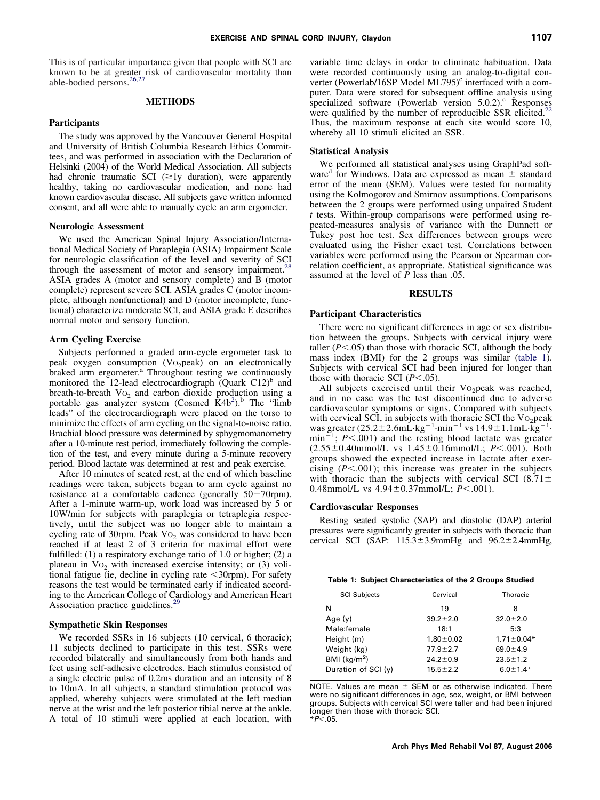This is of particular importance given that people with SCI are known to be at greater risk of cardiovascular mortality than able-bodied persons.<sup>26,27</sup>

# **METHODS**

### **Participants**

The study was approved by the Vancouver General Hospital and University of British Columbia Research Ethics Committees, and was performed in association with the Declaration of Helsinki (2004) of the World Medical Association. All subjects had chronic traumatic SCI  $(\geq 1$ y duration), were apparently healthy, taking no cardiovascular medication, and none had known cardiovascular disease. All subjects gave written informed consent, and all were able to manually cycle an arm ergometer.

### **Neurologic Assessment**

We used the American Spinal Injury Association/International Medical Society of Paraplegia (ASIA) Impairment Scale for neurologic classification of the level and severity of SCI through the assessment of motor and sensory impairment.<sup>28</sup> ASIA grades A (motor and sensory complete) and B (motor complete) represent severe SCI. ASIA grades C (motor incomplete, although nonfunctional) and D (motor incomplete, functional) characterize moderate SCI, and ASIA grade E describes normal motor and sensory function.

# **Arm Cycling Exercise**

Subjects performed a graded arm-cycle ergometer task to peak oxygen consumption (Vo<sub>2</sub>peak) on an electronically braked arm ergometer.<sup>a</sup> Throughout testing we continuously monitored the 12-lead electrocardiograph  $(Quark C12)^b$  and breath-to-breath  $Vo_2$  and carbon dioxide production using a portable gas analyzer system (Cosmed  $\dot{K}4b^2$ ).<sup>b</sup> The "limb leads" of the electrocardiograph were placed on the torso to minimize the effects of arm cycling on the signal-to-noise ratio. Brachial blood pressure was determined by sphygmomanometry after a 10-minute rest period, immediately following the completion of the test, and every minute during a 5-minute recovery period. Blood lactate was determined at rest and peak exercise.

After 10 minutes of seated rest, at the end of which baseline readings were taken, subjects began to arm cycle against no resistance at a comfortable cadence (generally  $50-70$ rpm). After a 1-minute warm-up, work load was increased by 5 or 10W/min for subjects with paraplegia or tetraplegia respectively, until the subject was no longer able to maintain a cycling rate of 30rpm. Peak  $Vo<sub>2</sub>$  was considered to have been reached if at least 2 of 3 criteria for maximal effort were fulfilled: (1) a respiratory exchange ratio of 1.0 or higher; (2) a plateau in  $Vo<sub>2</sub>$  with increased exercise intensity; or (3) volitional fatigue (ie, decline in cycling rate  $\leq 30$ rpm). For safety reasons the test would be terminated early if indicated according to the American College of Cardiology and American Heart Association practice guidelines.<sup>29</sup>

#### **Sympathetic Skin Responses**

We recorded SSRs in 16 subjects (10 cervical, 6 thoracic); 11 subjects declined to participate in this test. SSRs were recorded bilaterally and simultaneously from both hands and feet using self-adhesive electrodes. Each stimulus consisted of a single electric pulse of 0.2ms duration and an intensity of 8 to 10mA. In all subjects, a standard stimulation protocol was applied, whereby subjects were stimulated at the left median nerve at the wrist and the left posterior tibial nerve at the ankle. A total of 10 stimuli were applied at each location, with

variable time delays in order to eliminate habituation. Data were recorded continuously using an analog-to-digital converter (Powerlab/16SP Model ML795) $\textdegree$  interfaced with a computer. Data were stored for subsequent offline analysis using pluer. Data were stored for example the store of  $5.0.2$ ).<sup>c</sup> Responses specialized software (Powerlab version 5.0.2).<sup>c</sup> Responses were qualified by the number of reproducible SSR elicited.<sup>2</sup> Thus, the maximum response at each site would score 10, whereby all 10 stimuli elicited an SSR.

#### **Statistical Analysis**

We performed all statistical analyses using GraphPad software<sup>d</sup> for Windows. Data are expressed as mean  $\pm$  standard error of the mean (SEM). Values were tested for normality using the Kolmogorov and Smirnov assumptions. Comparisons between the 2 groups were performed using unpaired Student *t* tests. Within-group comparisons were performed using repeated-measures analysis of variance with the Dunnett or Tukey post hoc test. Sex differences between groups were evaluated using the Fisher exact test. Correlations between variables were performed using the Pearson or Spearman correlation coefficient, as appropriate. Statistical significance was assumed at the level of *P* less than .05.

# **RESULTS**

#### **Participant Characteristics**

There were no significant differences in age or sex distribution between the groups. Subjects with cervical injury were taller  $(P<.05)$  than those with thoracic SCI, although the body mass index (BMI) for the 2 groups was similar (table 1). Subjects with cervical SCI had been injured for longer than those with thoracic SCI  $(P<.05)$ .

All subjects exercised until their Vo<sub>2</sub>peak was reached, and in no case was the test discontinued due to adverse cardiovascular symptoms or signs. Compared with subjects with cervical SCI, in subjects with thoracic SCI the  $Vo<sub>2</sub>$  peak was greater  $(25.2 \pm 2.6 \text{mL} \cdot \text{kg}^{-1} \cdot \text{min}^{-1} \text{ vs } 14.9 \pm 1.1 \text{mL} \cdot \text{kg}^{-1} \cdot \text{m}^{-1})$  $\min^{-1}$ ; *P*<.001) and the resting blood lactate was greater  $(2.55 \pm 0.40$ mmol/L vs  $1.45 \pm 0.16$ mmol/L;  $P < .001$ ). Both groups showed the expected increase in lactate after exercising  $(P<.001)$ ; this increase was greater in the subjects with thoracic than the subjects with cervical SCI (8.71 $\pm$ 0.48mmol/L vs  $4.94 \pm 0.37$ mmol/L;  $P < .001$ ).

#### **Cardiovascular Responses**

Resting seated systolic (SAP) and diastolic (DAP) arterial pressures were significantly greater in subjects with thoracic than cervical SCI (SAP:  $115.3 \pm 3.9$ mmHg and  $96.2 \pm 2.4$ mmHg,

|  |  | Table 1: Subject Characteristics of the 2 Groups Studied |  |  |  |
|--|--|----------------------------------------------------------|--|--|--|
|--|--|----------------------------------------------------------|--|--|--|

| <b>SCI Subjects</b>  | Cervical        | Thoracic         |
|----------------------|-----------------|------------------|
| N                    | 19              | 8                |
| Age $(y)$            | $39.2 \pm 2.0$  | $32.0 \pm 2.0$   |
| Male:female          | 18:1            | 5:3              |
| Height (m)           | $1.80 \pm 0.02$ | $1.71 \pm 0.04*$ |
| Weight (kg)          | $77.9 \pm 2.7$  | $69.0 \pm 4.9$   |
| BMI ( $kg/m2$ )      | $24.2 \pm 0.9$  | $23.5 \pm 1.2$   |
| Duration of $SCI(y)$ | $15.5 \pm 2.2$  | $6.0 + 1.4*$     |
|                      |                 |                  |

NOTE. Values are mean  $\pm$  SEM or as otherwise indicated. There were no significant differences in age, sex, weight, or BMI between groups. Subjects with cervical SCI were taller and had been injured longer than those with thoracic SCI. \**P*.05.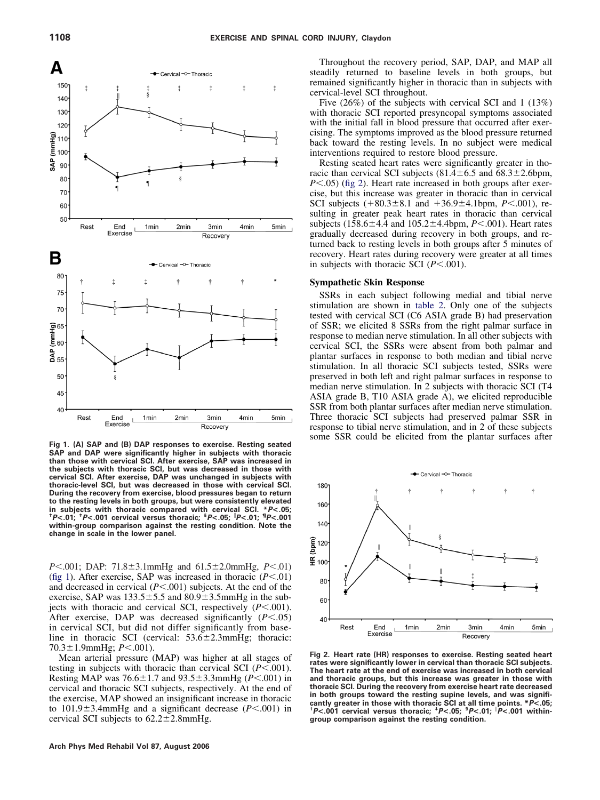

**Fig 1. (A) SAP and (B) DAP responses to exercise. Resting seated SAP and DAP were significantly higher in subjects with thoracic than those with cervical SCI. After exercise, SAP was increased in the subjects with thoracic SCI, but was decreased in those with cervical SCI. After exercise, DAP was unchanged in subjects with thoracic-level SCI, but was decreased in those with cervical SCI. During the recovery from exercise, blood pressures began to return to the resting levels in both groups, but were consistently elevated in subjects with thoracic compared with cervical SCI. \****P***<.05; †** *P***<.01; ‡** *P***<.001 cervical versus thoracic; §** *P***<.05;** *P***<.01; ¶** *P***<.001 within-group comparison against the resting condition. Note the change in scale in the lower panel.**

*P*<.001; DAP: 71.8±3.1mmHg and 61.5±2.0mmHg, *P*<.01) (fig 1). After exercise, SAP was increased in thoracic  $(P<.01)$ and decreased in cervical  $(P < 0.001)$  subjects. At the end of the exercise, SAP was  $133.5 \pm 5.5$  and  $80.9 \pm 3.5$ mmHg in the subjects with thoracic and cervical SCI, respectively  $(P < 0.001)$ . After exercise, DAP was decreased significantly  $(P<.05)$ in cervical SCI, but did not differ significantly from baseline in thoracic SCI (cervical:  $53.6 \pm 2.3$ mmHg; thoracic: 70.3 ± 1.9mmHg; *P* < .001).

Mean arterial pressure (MAP) was higher at all stages of testing in subjects with thoracic than cervical SCI  $(P<.001)$ . Resting MAP was  $76.6 \pm 1.7$  and  $93.5 \pm 3.3$ mmHg ( $P < .001$ ) in cervical and thoracic SCI subjects, respectively. At the end of the exercise, MAP showed an insignificant increase in thoracic to  $101.9 \pm 3.4$ mmHg and a significant decrease ( $P < .001$ ) in cervical SCI subjects to  $62.2 \pm 2.8$ mmHg.

Throughout the recovery period, SAP, DAP, and MAP all steadily returned to baseline levels in both groups, but remained significantly higher in thoracic than in subjects with cervical-level SCI throughout.

Five (26%) of the subjects with cervical SCI and 1 (13%) with thoracic SCI reported presyncopal symptoms associated with the initial fall in blood pressure that occurred after exercising. The symptoms improved as the blood pressure returned back toward the resting levels. In no subject were medical interventions required to restore blood pressure.

Resting seated heart rates were significantly greater in thoracic than cervical SCI subjects  $(81.4 \pm 6.5 \text{ and } 68.3 \pm 2.6 \text{bpm})$ , *P* $<$ .05) (fig 2). Heart rate increased in both groups after exercise, but this increase was greater in thoracic than in cervical SCI subjects  $(+80.3 \pm 8.1 \text{ and } +36.9 \pm 4.1 \text{ bpm}, P < .001)$ , resulting in greater peak heart rates in thoracic than cervical subjects ( $158.6 \pm 4.4$  and  $105.2 \pm 4.4$  bpm,  $P < .001$ ). Heart rates gradually decreased during recovery in both groups, and returned back to resting levels in both groups after 5 minutes of recovery. Heart rates during recovery were greater at all times in subjects with thoracic SCI  $(P<.001)$ .

# **Sympathetic Skin Response**

SSRs in each subject following medial and tibial nerve stimulation are shown in [table 2.](#page-3-0) Only one of the subjects tested with cervical SCI (C6 ASIA grade B) had preservation of SSR; we elicited 8 SSRs from the right palmar surface in response to median nerve stimulation. In all other subjects with cervical SCI, the SSRs were absent from both palmar and plantar surfaces in response to both median and tibial nerve stimulation. In all thoracic SCI subjects tested, SSRs were preserved in both left and right palmar surfaces in response to median nerve stimulation. In 2 subjects with thoracic SCI (T4 ASIA grade B, T10 ASIA grade A), we elicited reproducible SSR from both plantar surfaces after median nerve stimulation. Three thoracic SCI subjects had preserved palmar SSR in response to tibial nerve stimulation, and in 2 of these subjects some SSR could be elicited from the plantar surfaces after



**Fig 2. Heart rate (HR) responses to exercise. Resting seated heart rates were significantly lower in cervical than thoracic SCI subjects. The heart rate at the end of exercise was increased in both cervical and thoracic groups, but this increase was greater in those with thoracic SCI. During the recovery from exercise heart rate decreased in both groups toward the resting supine levels, and was significantly greater in those with thoracic SCI at all time points. \****P***<.05; †** *P***<.001 cervical versus thoracic; ‡** *P***<.05; §** *P***<.01;** *P***<.001 withingroup comparison against the resting condition.**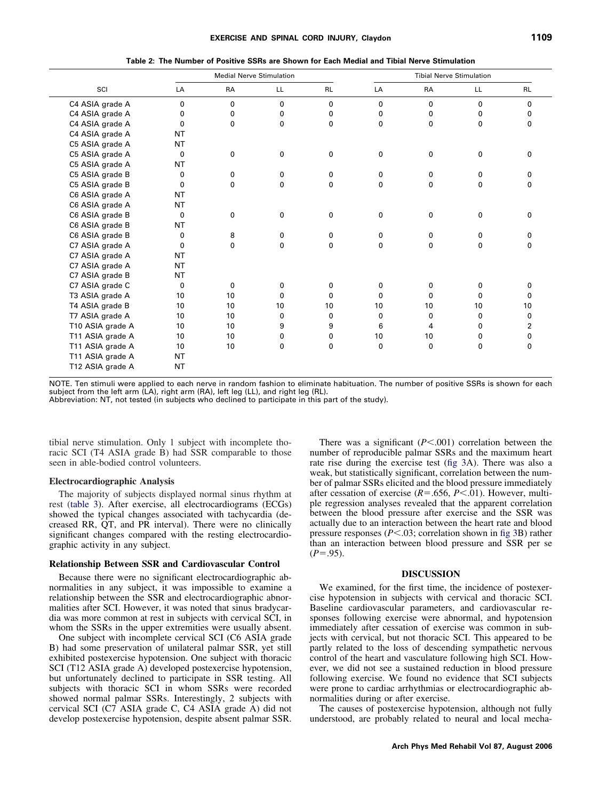<span id="page-3-0"></span>

|                  | <b>Medial Nerve Stimulation</b> |           |              | <b>Tibial Nerve Stimulation</b> |              |                 |              |              |
|------------------|---------------------------------|-----------|--------------|---------------------------------|--------------|-----------------|--------------|--------------|
| SCI              | LA                              | <b>RA</b> | LL.          | <b>RL</b>                       | LA           | <b>RA</b>       | LL.          | <b>RL</b>    |
| C4 ASIA grade A  | 0                               | 0         | $\mathbf 0$  | $\mathbf{0}$                    | 0            | $\mathbf{0}$    | $\mathbf{0}$ | $\mathbf{0}$ |
| C4 ASIA grade A  | 0                               | 0         | 0            | 0                               | 0            | 0               | 0            | 0            |
| C4 ASIA grade A  | 0                               | 0         | 0            | $\mathbf{0}$                    | $\mathbf{0}$ | $\mathbf{0}$    | $\mathbf 0$  | 0            |
| C4 ASIA grade A  | NT                              |           |              |                                 |              |                 |              |              |
| C5 ASIA grade A  | <b>NT</b>                       |           |              |                                 |              |                 |              |              |
| C5 ASIA grade A  | $\Omega$                        | 0         | 0            | 0                               | 0            | 0               | 0            | $\Omega$     |
| C5 ASIA grade A  | NT                              |           |              |                                 |              |                 |              |              |
| C5 ASIA grade B  | 0                               | 0         | 0            | 0                               | 0            | 0               | 0            | 0            |
| C5 ASIA grade B  | $\Omega$                        | 0         | 0            | 0                               | 0            | $\Omega$        | 0            | $\Omega$     |
| C6 ASIA grade A  | NT                              |           |              |                                 |              |                 |              |              |
| C6 ASIA grade A  | NT                              |           |              |                                 |              |                 |              |              |
| C6 ASIA grade B  | 0                               | 0         | $\mathbf 0$  | 0                               | 0            | 0               | 0            | 0            |
| C6 ASIA grade B  | NT                              |           |              |                                 |              |                 |              |              |
| C6 ASIA grade B  | 0                               | 8         | 0            | 0                               | 0            | 0               | 0            | 0            |
| C7 ASIA grade A  | 0                               | 0         | $\mathbf{0}$ | 0                               | $\mathbf{0}$ | 0               | $\mathbf{0}$ | 0            |
| C7 ASIA grade A  | NT                              |           |              |                                 |              |                 |              |              |
| C7 ASIA grade A  | <b>NT</b>                       |           |              |                                 |              |                 |              |              |
| C7 ASIA grade B  | <b>NT</b>                       |           |              |                                 |              |                 |              |              |
| C7 ASIA grade C  | 0                               | 0         | 0            | 0                               | 0            | 0               | 0            | o            |
| T3 ASIA grade A  | 10                              | 10        | 0            | 0                               | 0            | 0               | 0            | 0            |
| T4 ASIA grade B  | 10                              | 10        | 10           | 10                              | 10           | 10 <sup>°</sup> | 10           | 10           |
| T7 ASIA grade A  | 10                              | 10        | 0            | 0                               | 0            | 0               | 0            | 0            |
| T10 ASIA grade A | 10                              | 10        | 9            | 9                               | 6            | 4               | 0            | 2            |
| T11 ASIA grade A | 10                              | 10        | 0            | 0                               | 10           | 10 <sup>°</sup> | 0            | 0            |
| T11 ASIA grade A | 10                              | 10        | 0            | 0                               | 0            | 0               | 0            | 0            |
| T11 ASIA grade A | <b>NT</b>                       |           |              |                                 |              |                 |              |              |
| T12 ASIA grade A | <b>NT</b>                       |           |              |                                 |              |                 |              |              |
|                  |                                 |           |              |                                 |              |                 |              |              |

NOTE. Ten stimuli were applied to each nerve in random fashion to eliminate habituation. The number of positive SSRs is shown for each subject from the left arm (LA), right arm (RA), left leg (LL), and right leg (RL).

Abbreviation: NT, not tested (in subjects who declined to participate in this part of the study).

tibial nerve stimulation. Only 1 subject with incomplete thoracic SCI (T4 ASIA grade B) had SSR comparable to those seen in able-bodied control volunteers.

### **Electrocardiographic Analysis**

The majority of subjects displayed normal sinus rhythm at rest [\(table 3\)](#page-4-0). After exercise, all electrocardiograms (ECGs) showed the typical changes associated with tachycardia (decreased RR, QT, and PR interval). There were no clinically significant changes compared with the resting electrocardiographic activity in any subject.

#### **Relationship Between SSR and Cardiovascular Control**

Because there were no significant electrocardiographic abnormalities in any subject, it was impossible to examine a relationship between the SSR and electrocardiographic abnormalities after SCI. However, it was noted that sinus bradycardia was more common at rest in subjects with cervical SCI, in whom the SSRs in the upper extremities were usually absent.

One subject with incomplete cervical SCI (C6 ASIA grade B) had some preservation of unilateral palmar SSR, yet still exhibited postexercise hypotension. One subject with thoracic SCI (T12 ASIA grade A) developed postexercise hypotension, but unfortunately declined to participate in SSR testing. All subjects with thoracic SCI in whom SSRs were recorded showed normal palmar SSRs. Interestingly, 2 subjects with cervical SCI (C7 ASIA grade C, C4 ASIA grade A) did not develop postexercise hypotension, despite absent palmar SSR.

There was a significant  $(P < 0.001)$  correlation between the number of reproducible palmar SSRs and the maximum heart rate rise during the exercise test [\(fig 3A](#page-5-0)). There was also a weak, but statistically significant, correlation between the number of palmar SSRs elicited and the blood pressure immediately after cessation of exercise  $(R=.656, P<.01)$ . However, multiple regression analyses revealed that the apparent correlation between the blood pressure after exercise and the SSR was actually due to an interaction between the heart rate and blood pressure responses  $(P<.03$ ; correlation shown in [fig 3B](#page-5-0)) rather than an interaction between blood pressure and SSR per se  $(P=.95)$ .

#### **DISCUSSION**

We examined, for the first time, the incidence of postexercise hypotension in subjects with cervical and thoracic SCI. Baseline cardiovascular parameters, and cardiovascular responses following exercise were abnormal, and hypotension immediately after cessation of exercise was common in subjects with cervical, but not thoracic SCI. This appeared to be partly related to the loss of descending sympathetic nervous control of the heart and vasculature following high SCI. However, we did not see a sustained reduction in blood pressure following exercise. We found no evidence that SCI subjects were prone to cardiac arrhythmias or electrocardiographic abnormalities during or after exercise.

The causes of postexercise hypotension, although not fully understood, are probably related to neural and local mecha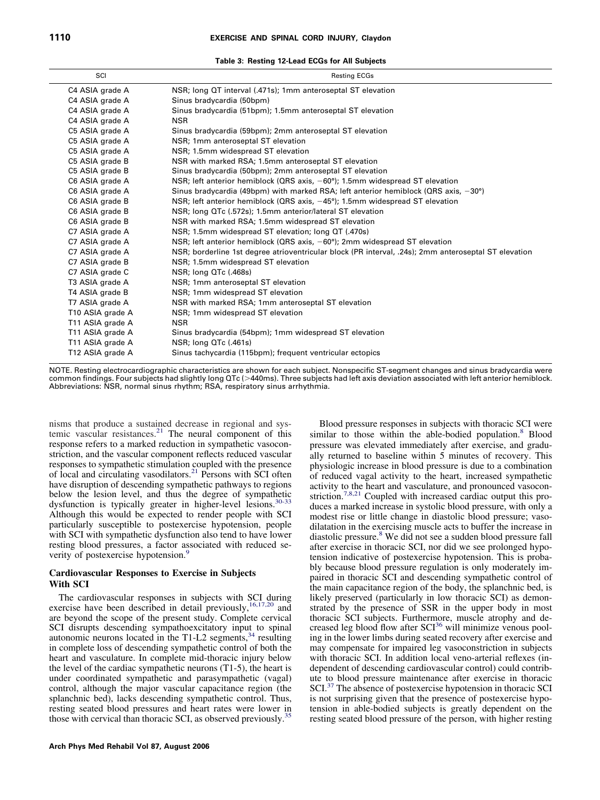**Table 3: Resting 12-Lead ECGs for All Subjects**

<span id="page-4-0"></span>

| SCI              | <b>Resting ECGs</b>                                                                                  |
|------------------|------------------------------------------------------------------------------------------------------|
| C4 ASIA grade A  | NSR; long QT interval (.471s); 1mm anteroseptal ST elevation                                         |
| C4 ASIA grade A  | Sinus bradycardia (50bpm)                                                                            |
| C4 ASIA grade A  | Sinus bradycardia (51bpm); 1.5mm anteroseptal ST elevation                                           |
| C4 ASIA grade A  | <b>NSR</b>                                                                                           |
| C5 ASIA grade A  | Sinus bradycardia (59bpm); 2mm anteroseptal ST elevation                                             |
| C5 ASIA grade A  | NSR; 1mm anteroseptal ST elevation                                                                   |
| C5 ASIA grade A  | NSR; 1.5mm widespread ST elevation                                                                   |
| C5 ASIA grade B  | NSR with marked RSA; 1.5mm anteroseptal ST elevation                                                 |
| C5 ASIA grade B  | Sinus bradycardia (50bpm); 2mm anteroseptal ST elevation                                             |
| C6 ASIA grade A  | NSR; left anterior hemiblock (QRS axis, $-60^{\circ}$ ); 1.5mm widespread ST elevation               |
| C6 ASIA grade A  | Sinus bradycardia (49bpm) with marked RSA; left anterior hemiblock (QRS axis, $-30^{\circ}$ )        |
| C6 ASIA grade B  | NSR; left anterior hemiblock (QRS axis, $-45^{\circ}$ ); 1.5mm widespread ST elevation               |
| C6 ASIA grade B  | NSR; long QTc (.572s); 1.5mm anterior/lateral ST elevation                                           |
| C6 ASIA grade B  | NSR with marked RSA; 1.5mm widespread ST elevation                                                   |
| C7 ASIA grade A  | NSR; 1.5mm widespread ST elevation; long QT (.470s)                                                  |
| C7 ASIA grade A  | NSR; left anterior hemiblock (QRS axis, $-60^{\circ}$ ); 2mm widespread ST elevation                 |
| C7 ASIA grade A  | NSR; borderline 1st degree atrioventricular block (PR interval, .24s); 2mm anteroseptal ST elevation |
| C7 ASIA grade B  | NSR; 1.5mm widespread ST elevation                                                                   |
| C7 ASIA grade C  | NSR; long QTc (.468s)                                                                                |
| T3 ASIA grade A  | NSR; 1mm anteroseptal ST elevation                                                                   |
| T4 ASIA grade B  | NSR; 1mm widespread ST elevation                                                                     |
| T7 ASIA grade A  | NSR with marked RSA; 1mm anteroseptal ST elevation                                                   |
| T10 ASIA grade A | NSR; 1mm widespread ST elevation                                                                     |
| T11 ASIA grade A | <b>NSR</b>                                                                                           |
| T11 ASIA grade A | Sinus bradycardia (54bpm); 1mm widespread ST elevation                                               |
| T11 ASIA grade A | NSR; long QTc (.461s)                                                                                |
| T12 ASIA grade A | Sinus tachycardia (115bpm); frequent ventricular ectopics                                            |
|                  |                                                                                                      |

NOTE. Resting electrocardiographic characteristics are shown for each subject. Nonspecific ST-segment changes and sinus bradycardia were common findings. Four subjects had slightly long QTc (>440ms). Three subjects had left axis deviation associated with left anterior hemiblock. Abbreviations: NSR, normal sinus rhythm; RSA, respiratory sinus arrhythmia.

nisms that produce a sustained decrease in regional and systemic vascular resistances.<sup>21</sup> The neural component of this response refers to a marked reduction in sympathetic vasoconstriction, and the vascular component reflects reduced vascular responses to sympathetic stimulation coupled with the presence of local and circulating vasodilators[.21](#page-7-0) Persons with SCI often have disruption of descending sympathetic pathways to regions below the lesion level, and thus the degree of sympathetic dysfunction is typically greater in higher-level lesions.<sup>30-33</sup> Although this would be expected to render people with SCI particularly susceptible to postexercise hypotension, people with SCI with sympathetic dysfunction also tend to have lower resting blood pressures, a factor associated with reduced severity of postexercise hypotension.<sup>9</sup>

# **Cardiovascular Responses to Exercise in Subjects With SCI**

The cardiovascular responses in subjects with SCI during exercise have been described in detail previously,<sup>16,17,20</sup> and are beyond the scope of the present study. Complete cervical SCI disrupts descending sympathoexcitatory input to spinal autonomic neurons located in the T1-L2 segments,<sup>34</sup> resulting in complete loss of descending sympathetic control of both the heart and vasculature. In complete mid-thoracic injury below the level of the cardiac sympathetic neurons (T1-5), the heart is under coordinated sympathetic and parasympathetic (vagal) control, although the major vascular capacitance region (the splanchnic bed), lacks descending sympathetic control. Thus, resting seated blood pressures and heart rates were lower in those with cervical than thoracic SCI, as observed previously.<sup>35</sup>

Blood pressure responses in subjects with thoracic SCI were similar to those within the able-bodied population.<sup>8</sup> Blood pressure was elevated immediately after exercise, and gradually returned to baseline within 5 minutes of recovery. This physiologic increase in blood pressure is due to a combination of reduced vagal activity to the heart, increased sympathetic activity to the heart and vasculature, and pronounced vasoconstriction.<sup>7,8,21</sup> Coupled with increased cardiac output this produces a marked increase in systolic blood pressure, with only a modest rise or little change in diastolic blood pressure; vasodilatation in the exercising muscle acts to buffer the increase in diastolic pressure[.8](#page-7-0) We did not see a sudden blood pressure fall after exercise in thoracic SCI, nor did we see prolonged hypotension indicative of postexercise hypotension. This is probably because blood pressure regulation is only moderately impaired in thoracic SCI and descending sympathetic control of the main capacitance region of the body, the splanchnic bed, is likely preserved (particularly in low thoracic SCI) as demonstrated by the presence of SSR in the upper body in most thoracic SCI subjects. Furthermore, muscle atrophy and decreased leg blood flow after SCI<sup>36</sup> will minimize venous pooling in the lower limbs during seated recovery after exercise and may compensate for impaired leg vasoconstriction in subjects with thoracic SCI. In addition local veno-arterial reflexes (independent of descending cardiovascular control) could contribute to blood pressure maintenance after exercise in thoracic SCI.<sup>37</sup> The absence of postexercise hypotension in thoracic SCI is not surprising given that the presence of postexercise hypotension in able-bodied subjects is greatly dependent on the resting seated blood pressure of the person, with higher resting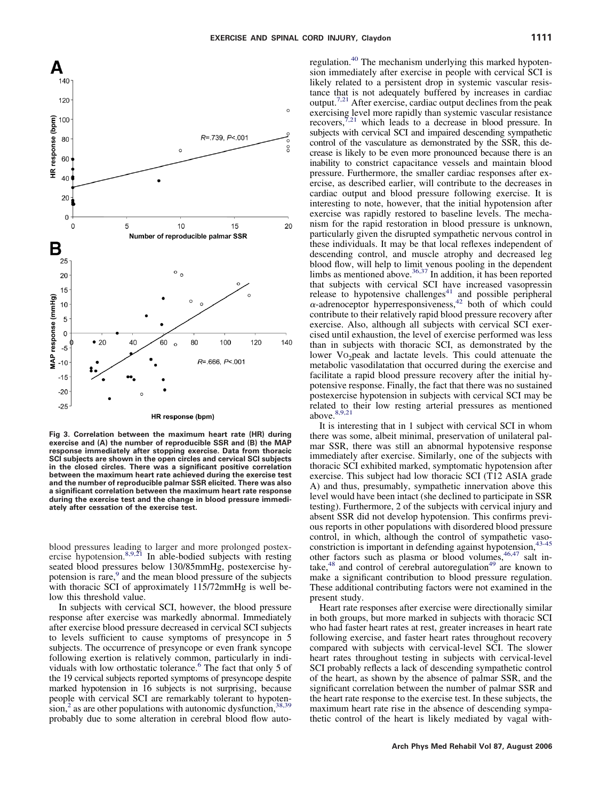<span id="page-5-0"></span>

**Fig 3. Correlation between the maximum heart rate (HR) during exercise and (A) the number of reproducible SSR and (B) the MAP response immediately after stopping exercise. Data from thoracic SCI subjects are shown in the open circles and cervical SCI subjects in the closed circles. There was a significant positive correlation between the maximum heart rate achieved during the exercise test and the number of reproducible palmar SSR elicited. There was also a significant correlation between the maximum heart rate response during the exercise test and the change in blood pressure immediately after cessation of the exercise test.**

blood pressures leading to larger and more prolonged postexercise hypotension.<sup>8,9,21</sup> In able-bodied subjects with resting seated blood pressures below 130/85mmHg, postexercise hypotension is rare,<sup>9</sup> and the mean blood pressure of the subjects with thoracic SCI of approximately 115/72mmHg is well below this threshold value.

In subjects with cervical SCI, however, the blood pressure response after exercise was markedly abnormal. Immediately after exercise blood pressure decreased in cervical SCI subjects to levels sufficient to cause symptoms of presyncope in 5 subjects. The occurrence of presyncope or even frank syncope following exertion is relatively common, particularly in individuals with low orthostatic tolerance.<sup>6</sup> The fact that only 5 of the 19 cervical subjects reported symptoms of presyncope despite marked hypotension in 16 subjects is not surprising, because people with cervical SCI are remarkably tolerant to hypotension,<sup>2</sup> as are other populations with autonomic dysfunction,  $38,39$ probably due to some alteration in cerebral blood flow auto-

regulation.<sup>40</sup> The mechanism underlying this marked hypotension immediately after exercise in people with cervical SCI is likely related to a persistent drop in systemic vascular resistance that is not adequately buffered by increases in cardiac output[.7,21](#page-7-0) After exercise, cardiac output declines from the peak exercising level more rapidly than systemic vascular resistance<br>recovers,<sup>7,21</sup> which leads to a decrease in blood pressure. In subjects with cervical SCI and impaired descending sympathetic control of the vasculature as demonstrated by the SSR, this decrease is likely to be even more pronounced because there is an inability to constrict capacitance vessels and maintain blood pressure. Furthermore, the smaller cardiac responses after exercise, as described earlier, will contribute to the decreases in cardiac output and blood pressure following exercise. It is interesting to note, however, that the initial hypotension after exercise was rapidly restored to baseline levels. The mechanism for the rapid restoration in blood pressure is unknown, particularly given the disrupted sympathetic nervous control in these individuals. It may be that local reflexes independent of descending control, and muscle atrophy and decreased leg blood flow, will help to limit venous pooling in the dependent limbs as mentioned above.<sup>36,37</sup> In addition, it has been reported that subjects with cervical SCI have increased vasopressin release to hypotensive challenges $41$  and possible peripheral  $\alpha$ -adrenoceptor hyperresponsiveness,<sup>42</sup> both of which could contribute to their relatively rapid blood pressure recovery after exercise. Also, although all subjects with cervical SCI exercised until exhaustion, the level of exercise performed was less than in subjects with thoracic SCI, as demonstrated by the lower Vo<sub>2</sub>peak and lactate levels. This could attenuate the metabolic vasodilatation that occurred during the exercise and facilitate a rapid blood pressure recovery after the initial hypotensive response. Finally, the fact that there was no sustained postexercise hypotension in subjects with cervical SCI may be related to their low resting arterial pressures as mentioned above. $8,9,21$ 

It is interesting that in 1 subject with cervical SCI in whom there was some, albeit minimal, preservation of unilateral palmar SSR, there was still an abnormal hypotensive response immediately after exercise. Similarly, one of the subjects with thoracic SCI exhibited marked, symptomatic hypotension after exercise. This subject had low thoracic SCI (T12 ASIA grade A) and thus, presumably, sympathetic innervation above this level would have been intact (she declined to participate in SSR testing). Furthermore, 2 of the subjects with cervical injury and absent SSR did not develop hypotension. This confirms previous reports in other populations with disordered blood pressure control, in which, although the control of sympathetic vasoconstriction is important in defending against hypotension,<sup>43-45</sup> other factors such as plasma or blood volumes,  $46,47$  salt intake, $48$  and control of cerebral autoregulation $49$  are known to make a significant contribution to blood pressure regulation. These additional contributing factors were not examined in the present study.

Heart rate responses after exercise were directionally similar in both groups, but more marked in subjects with thoracic SCI who had faster heart rates at rest, greater increases in heart rate following exercise, and faster heart rates throughout recovery compared with subjects with cervical-level SCI. The slower heart rates throughout testing in subjects with cervical-level SCI probably reflects a lack of descending sympathetic control of the heart, as shown by the absence of palmar SSR, and the significant correlation between the number of palmar SSR and the heart rate response to the exercise test. In these subjects, the maximum heart rate rise in the absence of descending sympathetic control of the heart is likely mediated by vagal with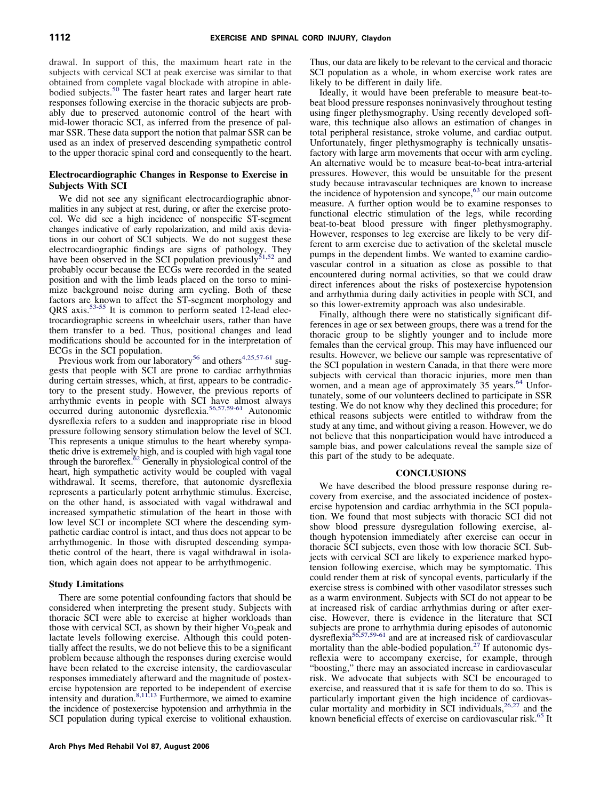drawal. In support of this, the maximum heart rate in the subjects with cervical SCI at peak exercise was similar to that obtained from complete vagal blockade with atropine in ablebodied subjects.<sup>50</sup> The faster heart rates and larger heart rate responses following exercise in the thoracic subjects are probably due to preserved autonomic control of the heart with mid-lower thoracic SCI, as inferred from the presence of palmar SSR. These data support the notion that palmar SSR can be used as an index of preserved descending sympathetic control to the upper thoracic spinal cord and consequently to the heart.

# **Electrocardiographic Changes in Response to Exercise in Subjects With SCI**

We did not see any significant electrocardiographic abnormalities in any subject at rest, during, or after the exercise protocol. We did see a high incidence of nonspecific ST-segment changes indicative of early repolarization, and mild axis deviations in our cohort of SCI subjects. We do not suggest these electrocardiographic findings are signs of pathology. They have been observed in the SCI population previously<sup>51,52</sup> and probably occur because the ECGs were recorded in the seated position and with the limb leads placed on the torso to minimize background noise during arm cycling. Both of these factors are known to affect the ST-segment morphology and QRS axis[.53-55](#page-8-0) It is common to perform seated 12-lead electrocardiographic screens in wheelchair users, rather than have them transfer to a bed. Thus, positional changes and lead modifications should be accounted for in the interpretation of ECGs in the SCI population.

Previous work from our laboratory<sup>56</sup> and others<sup>4,25,57-61</sup> suggests that people with SCI are prone to cardiac arrhythmias during certain stresses, which, at first, appears to be contradictory to the present study. However, the previous reports of arrhythmic events in people with SCI have almost always occurred during autonomic dysreflexia[.56,57,59-61](#page-8-0) Autonomic dysreflexia refers to a sudden and inappropriate rise in blood pressure following sensory stimulation below the level of SCI. This represents a unique stimulus to the heart whereby sympathetic drive is extremely high, and is coupled with high vagal tone through the baroreflex.<sup>62</sup> Generally in physiological control of the heart, high sympathetic activity would be coupled with vagal withdrawal. It seems, therefore, that autonomic dysreflexia represents a particularly potent arrhythmic stimulus. Exercise, on the other hand, is associated with vagal withdrawal and increased sympathetic stimulation of the heart in those with low level SCI or incomplete SCI where the descending sympathetic cardiac control is intact, and thus does not appear to be arrhythmogenic. In those with disrupted descending sympathetic control of the heart, there is vagal withdrawal in isolation, which again does not appear to be arrhythmogenic.

# **Study Limitations**

There are some potential confounding factors that should be considered when interpreting the present study. Subjects with thoracic SCI were able to exercise at higher workloads than those with cervical SCI, as shown by their higher  $Vo<sub>2</sub>$  peak and lactate levels following exercise. Although this could potentially affect the results, we do not believe this to be a significant problem because although the responses during exercise would have been related to the exercise intensity, the cardiovascular responses immediately afterward and the magnitude of postexercise hypotension are reported to be independent of exercise intensity and duration.<sup>8,11,13</sup> Furthermore, we aimed to examine the incidence of postexercise hypotension and arrhythmia in the SCI population during typical exercise to volitional exhaustion.

Thus, our data are likely to be relevant to the cervical and thoracic SCI population as a whole, in whom exercise work rates are likely to be different in daily life.

Ideally, it would have been preferable to measure beat-tobeat blood pressure responses noninvasively throughout testing using finger plethysmography. Using recently developed software, this technique also allows an estimation of changes in total peripheral resistance, stroke volume, and cardiac output. Unfortunately, finger plethysmography is technically unsatisfactory with large arm movements that occur with arm cycling. An alternative would be to measure beat-to-beat intra-arterial pressures. However, this would be unsuitable for the present study because intravascular techniques are known to increase the incidence of hypotension and syncope,  $63$  our main outcome measure. A further option would be to examine responses to functional electric stimulation of the legs, while recording beat-to-beat blood pressure with finger plethysmography. However, responses to leg exercise are likely to be very different to arm exercise due to activation of the skeletal muscle pumps in the dependent limbs. We wanted to examine cardiovascular control in a situation as close as possible to that encountered during normal activities, so that we could draw direct inferences about the risks of postexercise hypotension and arrhythmia during daily activities in people with SCI, and so this lower-extremity approach was also undesirable.

Finally, although there were no statistically significant differences in age or sex between groups, there was a trend for the thoracic group to be slightly younger and to include more females than the cervical group. This may have influenced our results. However, we believe our sample was representative of the SCI population in western Canada, in that there were more subjects with cervical than thoracic injuries, more men than women, and a mean age of approximately 35 years.<sup>64</sup> Unfortunately, some of our volunteers declined to participate in SSR testing. We do not know why they declined this procedure; for ethical reasons subjects were entitled to withdraw from the study at any time, and without giving a reason. However, we do not believe that this nonparticipation would have introduced a sample bias, and power calculations reveal the sample size of this part of the study to be adequate.

#### **CONCLUSIONS**

We have described the blood pressure response during recovery from exercise, and the associated incidence of postexercise hypotension and cardiac arrhythmia in the SCI population. We found that most subjects with thoracic SCI did not show blood pressure dysregulation following exercise, although hypotension immediately after exercise can occur in thoracic SCI subjects, even those with low thoracic SCI. Subjects with cervical SCI are likely to experience marked hypotension following exercise, which may be symptomatic. This could render them at risk of syncopal events, particularly if the exercise stress is combined with other vasodilator stresses such as a warm environment. Subjects with SCI do not appear to be at increased risk of cardiac arrhythmias during or after exercise. However, there is evidence in the literature that SCI subjects are prone to arrhythmia during episodes of autonomic dysreflexi[a56,57,59-61](#page-8-0) and are at increased risk of cardiovascular mortality than the able-bodied population.<sup>27</sup> If autonomic dysreflexia were to accompany exercise, for example, through "boosting," there may an associated increase in cardiovascular risk. We advocate that subjects with SCI be encouraged to exercise, and reassured that it is safe for them to do so. This is particularly important given the high incidence of cardiovascular mortality and morbidity in SCI individuals,  $26.27$  and the known beneficial effects of exercise on cardiovascular risk.<sup>65</sup> It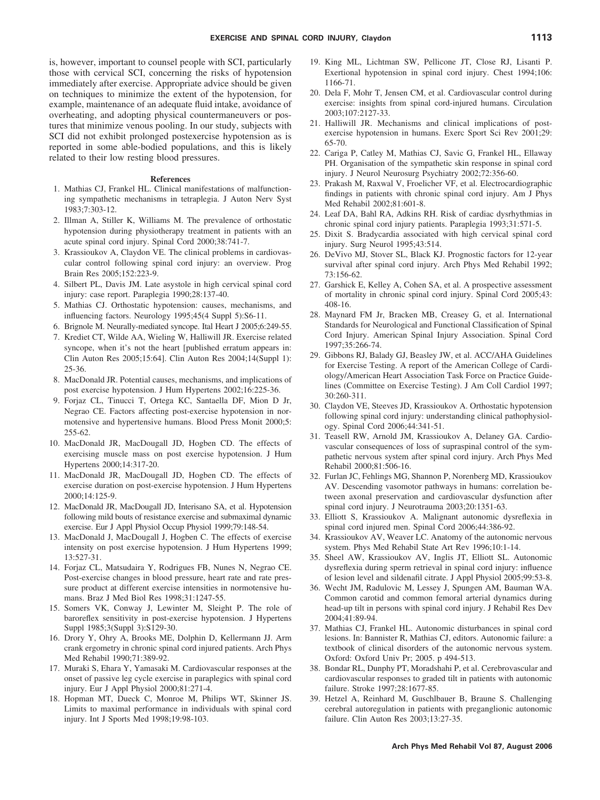<span id="page-7-0"></span>is, however, important to counsel people with SCI, particularly those with cervical SCI, concerning the risks of hypotension immediately after exercise. Appropriate advice should be given on techniques to minimize the extent of the hypotension, for example, maintenance of an adequate fluid intake, avoidance of overheating, and adopting physical countermaneuvers or postures that minimize venous pooling. In our study, subjects with SCI did not exhibit prolonged postexercise hypotension as is reported in some able-bodied populations, and this is likely related to their low resting blood pressures.

### **References**

- 1. Mathias CJ, Frankel HL. Clinical manifestations of malfunctioning sympathetic mechanisms in tetraplegia. J Auton Nerv Syst 1983;7:303-12.
- 2. Illman A, Stiller K, Williams M. The prevalence of orthostatic hypotension during physiotherapy treatment in patients with an acute spinal cord injury. Spinal Cord 2000;38:741-7.
- 3. Krassioukov A, Claydon VE. The clinical problems in cardiovascular control following spinal cord injury: an overview. Prog Brain Res 2005;152:223-9.
- 4. Silbert PL, Davis JM. Late asystole in high cervical spinal cord injury: case report. Paraplegia 1990;28:137-40.
- 5. Mathias CJ. Orthostatic hypotension: causes, mechanisms, and influencing factors. Neurology 1995;45(4 Suppl 5):S6-11.
- 6. Brignole M. Neurally-mediated syncope. Ital Heart J 2005;6:249-55.
- 7. Krediet CT, Wilde AA, Wieling W, Halliwill JR. Exercise related syncope, when it's not the heart [published erratum appears in: Clin Auton Res 2005;15:64]. Clin Auton Res 2004;14(Suppl 1): 25-36.
- 8. MacDonald JR. Potential causes, mechanisms, and implications of post exercise hypotension. J Hum Hypertens 2002;16:225-36.
- 9. Forjaz CL, Tinucci T, Ortega KC, Santaella DF, Mion D Jr, Negrao CE. Factors affecting post-exercise hypotension in normotensive and hypertensive humans. Blood Press Monit 2000;5: 255-62.
- 10. MacDonald JR, MacDougall JD, Hogben CD. The effects of exercising muscle mass on post exercise hypotension. J Hum Hypertens 2000;14:317-20.
- 11. MacDonald JR, MacDougall JD, Hogben CD. The effects of exercise duration on post-exercise hypotension. J Hum Hypertens 2000;14:125-9.
- 12. MacDonald JR, MacDougall JD, Interisano SA, et al. Hypotension following mild bouts of resistance exercise and submaximal dynamic exercise. Eur J Appl Physiol Occup Physiol 1999;79:148-54.
- 13. MacDonald J, MacDougall J, Hogben C. The effects of exercise intensity on post exercise hypotension. J Hum Hypertens 1999; 13:527-31.
- 14. Forjaz CL, Matsudaira Y, Rodrigues FB, Nunes N, Negrao CE. Post-exercise changes in blood pressure, heart rate and rate pressure product at different exercise intensities in normotensive humans. Braz J Med Biol Res 1998;31:1247-55.
- 15. Somers VK, Conway J, Lewinter M, Sleight P. The role of baroreflex sensitivity in post-exercise hypotension. J Hypertens Suppl 1985;3(Suppl 3):S129-30.
- 16. Drory Y, Ohry A, Brooks ME, Dolphin D, Kellermann JJ. Arm crank ergometry in chronic spinal cord injured patients. Arch Phys Med Rehabil 1990;71:389-92.
- 17. Muraki S, Ehara Y, Yamasaki M. Cardiovascular responses at the onset of passive leg cycle exercise in paraplegics with spinal cord injury. Eur J Appl Physiol 2000;81:271-4.
- 18. Hopman MT, Dueck C, Monroe M, Philips WT, Skinner JS. Limits to maximal performance in individuals with spinal cord injury. Int J Sports Med 1998;19:98-103.
- 19. King ML, Lichtman SW, Pellicone JT, Close RJ, Lisanti P. Exertional hypotension in spinal cord injury. Chest 1994;106: 1166-71.
- 20. Dela F, Mohr T, Jensen CM, et al. Cardiovascular control during exercise: insights from spinal cord-injured humans. Circulation 2003;107:2127-33.
- 21. Halliwill JR. Mechanisms and clinical implications of postexercise hypotension in humans. Exerc Sport Sci Rev 2001;29: 65-70.
- 22. Cariga P, Catley M, Mathias CJ, Savic G, Frankel HL, Ellaway PH. Organisation of the sympathetic skin response in spinal cord injury. J Neurol Neurosurg Psychiatry 2002;72:356-60.
- 23. Prakash M, Raxwal V, Froelicher VF, et al. Electrocardiographic findings in patients with chronic spinal cord injury. Am J Phys Med Rehabil 2002;81:601-8.
- 24. Leaf DA, Bahl RA, Adkins RH. Risk of cardiac dysrhythmias in chronic spinal cord injury patients. Paraplegia 1993;31:571-5.
- 25. Dixit S. Bradycardia associated with high cervical spinal cord injury. Surg Neurol 1995;43:514.
- 26. DeVivo MJ, Stover SL, Black KJ. Prognostic factors for 12-year survival after spinal cord injury. Arch Phys Med Rehabil 1992; 73:156-62.
- 27. Garshick E, Kelley A, Cohen SA, et al. A prospective assessment of mortality in chronic spinal cord injury. Spinal Cord 2005;43: 408-16.
- 28. Maynard FM Jr, Bracken MB, Creasey G, et al. International Standards for Neurological and Functional Classification of Spinal Cord Injury. American Spinal Injury Association. Spinal Cord 1997;35:266-74.
- 29. Gibbons RJ, Balady GJ, Beasley JW, et al. ACC/AHA Guidelines for Exercise Testing. A report of the American College of Cardiology/American Heart Association Task Force on Practice Guidelines (Committee on Exercise Testing). J Am Coll Cardiol 1997; 30:260-311.
- 30. Claydon VE, Steeves JD, Krassioukov A. Orthostatic hypotension following spinal cord injury: understanding clinical pathophysiology. Spinal Cord 2006;44:341-51.
- 31. Teasell RW, Arnold JM, Krassioukov A, Delaney GA. Cardiovascular consequences of loss of supraspinal control of the sympathetic nervous system after spinal cord injury. Arch Phys Med Rehabil 2000;81:506-16.
- 32. Furlan JC, Fehlings MG, Shannon P, Norenberg MD, Krassioukov AV. Descending vasomotor pathways in humans: correlation between axonal preservation and cardiovascular dysfunction after spinal cord injury. J Neurotrauma 2003;20:1351-63.
- 33. Elliott S, Krassioukov A. Malignant autonomic dysreflexia in spinal cord injured men. Spinal Cord 2006;44:386-92.
- 34. Krassioukov AV, Weaver LC. Anatomy of the autonomic nervous system. Phys Med Rehabil State Art Rev 1996;10:1-14.
- 35. Sheel AW, Krassioukov AV, Inglis JT, Elliott SL. Autonomic dysreflexia during sperm retrieval in spinal cord injury: influence of lesion level and sildenafil citrate. J Appl Physiol 2005;99:53-8.
- 36. Wecht JM, Radulovic M, Lessey J, Spungen AM, Bauman WA. Common carotid and common femoral arterial dynamics during head-up tilt in persons with spinal cord injury. J Rehabil Res Dev 2004;41:89-94.
- 37. Mathias CJ, Frankel HL. Autonomic disturbances in spinal cord lesions. In: Bannister R, Mathias CJ, editors. Autonomic failure: a textbook of clinical disorders of the autonomic nervous system. Oxford: Oxford Univ Pr; 2005. p 494-513.
- 38. Bondar RL, Dunphy PT, Moradshahi P, et al. Cerebrovascular and cardiovascular responses to graded tilt in patients with autonomic failure. Stroke 1997;28:1677-85.
- 39. Hetzel A, Reinhard M, Guschlbauer B, Braune S. Challenging cerebral autoregulation in patients with preganglionic autonomic failure. Clin Auton Res 2003;13:27-35.